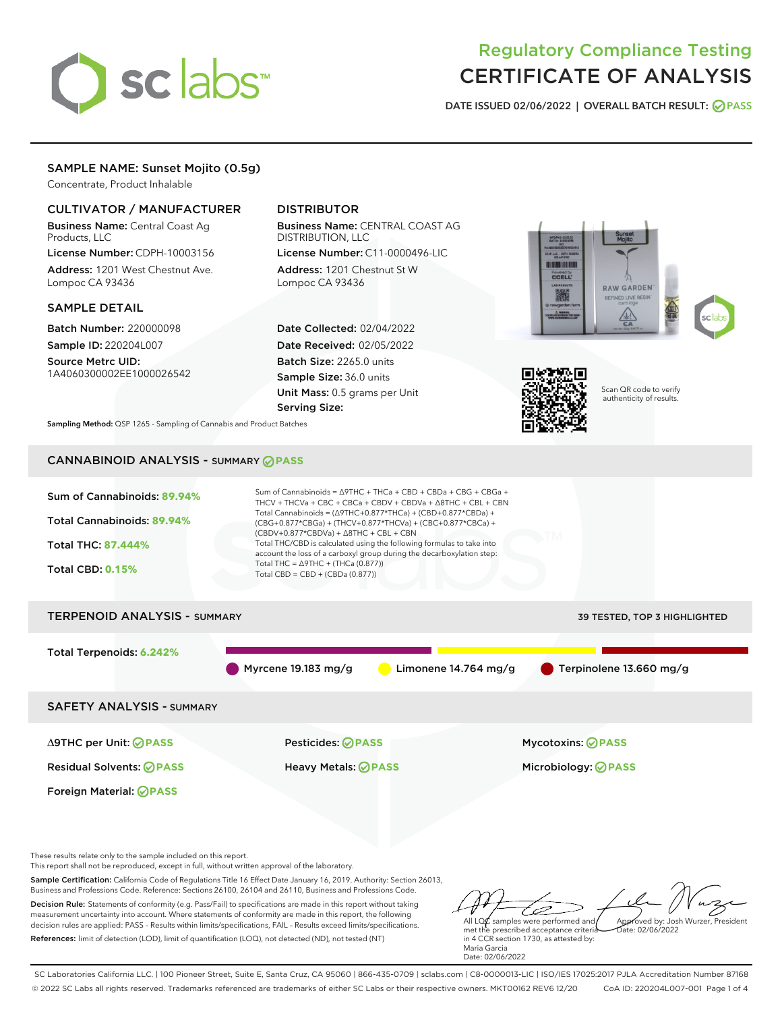

# Regulatory Compliance Testing CERTIFICATE OF ANALYSIS

DATE ISSUED 02/06/2022 | OVERALL BATCH RESULT: @ PASS

### SAMPLE NAME: Sunset Mojito (0.5g)

Concentrate, Product Inhalable

#### CULTIVATOR / MANUFACTURER

Business Name: Central Coast Ag Products, LLC

License Number: CDPH-10003156 Address: 1201 West Chestnut Ave. Lompoc CA 93436

#### SAMPLE DETAIL

Batch Number: 220000098 Sample ID: 220204L007

Source Metrc UID: 1A4060300002EE1000026542

## DISTRIBUTOR

Business Name: CENTRAL COAST AG DISTRIBUTION, LLC License Number: C11-0000496-LIC

Address: 1201 Chestnut St W Lompoc CA 93436

Date Collected: 02/04/2022 Date Received: 02/05/2022 Batch Size: 2265.0 units Sample Size: 36.0 units Unit Mass: 0.5 grams per Unit Serving Size:





Scan QR code to verify authenticity of results.

Sampling Method: QSP 1265 - Sampling of Cannabis and Product Batches

## CANNABINOID ANALYSIS - SUMMARY **PASS**



Sample Certification: California Code of Regulations Title 16 Effect Date January 16, 2019. Authority: Section 26013, Business and Professions Code. Reference: Sections 26100, 26104 and 26110, Business and Professions Code. Decision Rule: Statements of conformity (e.g. Pass/Fail) to specifications are made in this report without taking measurement uncertainty into account. Where statements of conformity are made in this report, the following decision rules are applied: PASS – Results within limits/specifications, FAIL – Results exceed limits/specifications. References: limit of detection (LOD), limit of quantification (LOQ), not detected (ND), not tested (NT)

مسك All LQ $\ell$  samples were performed and Approved by: Josh Wurzer, President  $ate: 02/06/2022$ 

met the prescribed acceptance criteria in 4 CCR section 1730, as attested by: Maria Garcia Date: 02/06/2022

SC Laboratories California LLC. | 100 Pioneer Street, Suite E, Santa Cruz, CA 95060 | 866-435-0709 | sclabs.com | C8-0000013-LIC | ISO/IES 17025:2017 PJLA Accreditation Number 87168 © 2022 SC Labs all rights reserved. Trademarks referenced are trademarks of either SC Labs or their respective owners. MKT00162 REV6 12/20 CoA ID: 220204L007-001 Page 1 of 4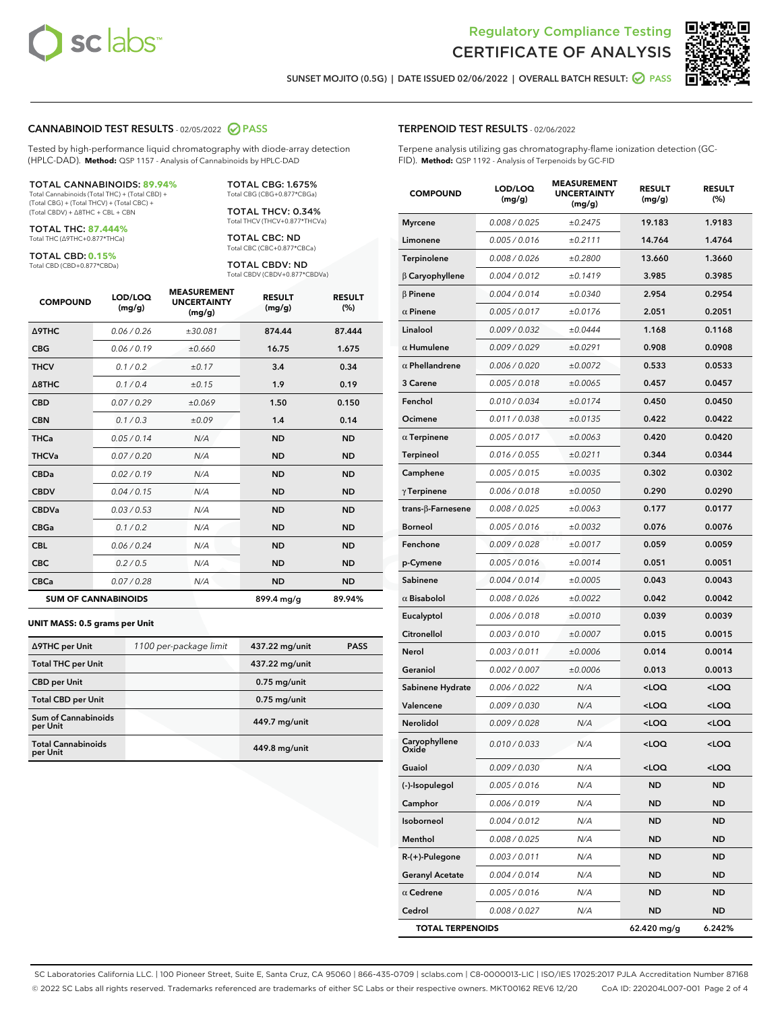



SUNSET MOJITO (0.5G) | DATE ISSUED 02/06/2022 | OVERALL BATCH RESULT: **○** PASS

#### CANNABINOID TEST RESULTS - 02/05/2022 2 PASS

Tested by high-performance liquid chromatography with diode-array detection (HPLC-DAD). **Method:** QSP 1157 - Analysis of Cannabinoids by HPLC-DAD

#### TOTAL CANNABINOIDS: **89.94%**

Total Cannabinoids (Total THC) + (Total CBD) + (Total CBG) + (Total THCV) + (Total CBC) + (Total CBDV) + ∆8THC + CBL + CBN

TOTAL THC: **87.444%** Total THC (∆9THC+0.877\*THCa)

TOTAL CBD: **0.15%**

Total CBD (CBD+0.877\*CBDa)

TOTAL CBG: 1.675% Total CBG (CBG+0.877\*CBGa)

TOTAL THCV: 0.34% Total THCV (THCV+0.877\*THCVa)

TOTAL CBC: ND Total CBC (CBC+0.877\*CBCa)

TOTAL CBDV: ND Total CBDV (CBDV+0.877\*CBDVa)

| <b>COMPOUND</b>  | LOD/LOQ<br>(mg/g)          | <b>MEASUREMENT</b><br><b>UNCERTAINTY</b><br>(mg/g) | <b>RESULT</b><br>(mg/g) | <b>RESULT</b><br>(%) |
|------------------|----------------------------|----------------------------------------------------|-------------------------|----------------------|
| <b>A9THC</b>     | 0.06 / 0.26                | ±30.081                                            | 874.44                  | 87.444               |
| <b>CBG</b>       | 0.06/0.19                  | ±0.660                                             | 16.75                   | 1.675                |
| <b>THCV</b>      | 0.1 / 0.2                  | ±0.17                                              | 3.4                     | 0.34                 |
| $\triangle$ 8THC | 0.1/0.4                    | ±0.15                                              | 1.9                     | 0.19                 |
| <b>CBD</b>       | 0.07/0.29                  | ±0.069                                             | 1.50                    | 0.150                |
| <b>CBN</b>       | 0.1/0.3                    | ±0.09                                              | 1.4                     | 0.14                 |
| THCa             | 0.05/0.14                  | N/A                                                | <b>ND</b>               | <b>ND</b>            |
| <b>THCVa</b>     | 0.07/0.20                  | N/A                                                | <b>ND</b>               | <b>ND</b>            |
| <b>CBDa</b>      | 0.02/0.19                  | N/A                                                | <b>ND</b>               | <b>ND</b>            |
| <b>CBDV</b>      | 0.04/0.15                  | N/A                                                | <b>ND</b>               | <b>ND</b>            |
| <b>CBDVa</b>     | 0.03/0.53                  | N/A                                                | <b>ND</b>               | <b>ND</b>            |
| <b>CBGa</b>      | 0.1/0.2                    | N/A                                                | <b>ND</b>               | <b>ND</b>            |
| <b>CBL</b>       | 0.06 / 0.24                | N/A                                                | <b>ND</b>               | <b>ND</b>            |
| <b>CBC</b>       | 0.2 / 0.5                  | N/A                                                | <b>ND</b>               | <b>ND</b>            |
| <b>CBCa</b>      | 0.07/0.28                  | N/A                                                | <b>ND</b>               | <b>ND</b>            |
|                  | <b>SUM OF CANNABINOIDS</b> |                                                    | 899.4 mg/g              | 89.94%               |

#### **UNIT MASS: 0.5 grams per Unit**

| ∆9THC per Unit                        | 1100 per-package limit | 437.22 mg/unit | <b>PASS</b> |
|---------------------------------------|------------------------|----------------|-------------|
| <b>Total THC per Unit</b>             |                        | 437.22 mg/unit |             |
| <b>CBD</b> per Unit                   |                        | $0.75$ mg/unit |             |
| <b>Total CBD per Unit</b>             |                        | $0.75$ mg/unit |             |
| Sum of Cannabinoids<br>per Unit       |                        | 449.7 mg/unit  |             |
| <b>Total Cannabinoids</b><br>per Unit |                        | 449.8 mg/unit  |             |

| <b>COMPOUND</b>         | LOD/LOQ<br>(mg/g) | <b>MEASUREMENT</b><br><b>UNCERTAINTY</b><br>(mg/g) | <b>RESULT</b><br>(mg/g)                         | <b>RESULT</b><br>(%) |
|-------------------------|-------------------|----------------------------------------------------|-------------------------------------------------|----------------------|
| <b>Myrcene</b>          | 0.008 / 0.025     | ±0.2475                                            | 19.183                                          | 1.9183               |
| Limonene                | 0.005 / 0.016     | ±0.2111                                            | 14.764                                          | 1.4764               |
| Terpinolene             | 0.008 / 0.026     | ±0.2800                                            | 13.660                                          | 1.3660               |
| $\beta$ Caryophyllene   | 0.004 / 0.012     | ±0.1419                                            | 3.985                                           | 0.3985               |
| $\beta$ Pinene          | 0.004 / 0.014     | ±0.0340                                            | 2.954                                           | 0.2954               |
| $\alpha$ Pinene         | 0.005 / 0.017     | ±0.0176                                            | 2.051                                           | 0.2051               |
| Linalool                | 0.009 / 0.032     | ±0.0444                                            | 1.168                                           | 0.1168               |
| $\alpha$ Humulene       | 0.009 / 0.029     | ±0.0291                                            | 0.908                                           | 0.0908               |
| $\alpha$ Phellandrene   | 0.006 / 0.020     | ±0.0072                                            | 0.533                                           | 0.0533               |
| 3 Carene                | 0.005 / 0.018     | ±0.0065                                            | 0.457                                           | 0.0457               |
| Fenchol                 | 0.010 / 0.034     | ±0.0174                                            | 0.450                                           | 0.0450               |
| Ocimene                 | 0.011 / 0.038     | ±0.0135                                            | 0.422                                           | 0.0422               |
| $\alpha$ Terpinene      | 0.005 / 0.017     | ±0.0063                                            | 0.420                                           | 0.0420               |
| Terpineol               | 0.016 / 0.055     | ±0.0211                                            | 0.344                                           | 0.0344               |
| Camphene                | 0.005 / 0.015     | ±0.0035                                            | 0.302                                           | 0.0302               |
| $\gamma$ Terpinene      | 0.006 / 0.018     | ±0.0050                                            | 0.290                                           | 0.0290               |
| trans-ß-Farnesene       | 0.008 / 0.025     | ±0.0063                                            | 0.177                                           | 0.0177               |
| <b>Borneol</b>          | 0.005 / 0.016     | ±0.0032                                            | 0.076                                           | 0.0076               |
| Fenchone                | 0.009 / 0.028     | ±0.0017                                            | 0.059                                           | 0.0059               |
| p-Cymene                | 0.005 / 0.016     | ±0.0014                                            | 0.051                                           | 0.0051               |
| Sabinene                | 0.004 / 0.014     | ±0.0005                                            | 0.043                                           | 0.0043               |
| $\alpha$ Bisabolol      | 0.008 / 0.026     | ±0.0022                                            | 0.042                                           | 0.0042               |
| Eucalyptol              | 0.006 / 0.018     | ±0.0010                                            | 0.039                                           | 0.0039               |
| Citronellol             | 0.003 / 0.010     | ±0.0007                                            | 0.015                                           | 0.0015               |
| Nerol                   | 0.003 / 0.011     | ±0.0006                                            | 0.014                                           | 0.0014               |
| Geraniol                | 0.002 / 0.007     | ±0.0006                                            | 0.013                                           | 0.0013               |
| Sabinene Hydrate        | 0.006 / 0.022     | N/A                                                | <loq< th=""><th><loq< th=""></loq<></th></loq<> | <loq< th=""></loq<>  |
| Valencene               | 0.009 / 0.030     | N/A                                                | 100                                             | <loq< th=""></loq<>  |
| Nerolidol               | 0.009 / 0.028     | N/A                                                | <loq< th=""><th><loq< th=""></loq<></th></loq<> | <loq< th=""></loq<>  |
| Caryophyllene<br>Oxide  | 0.010 / 0.033     | N/A                                                | <loq< th=""><th><loq< th=""></loq<></th></loq<> | <loq< th=""></loq<>  |
| Guaiol                  | 0.009 / 0.030     | N/A                                                | <loq< th=""><th><loq< th=""></loq<></th></loq<> | <loq< th=""></loq<>  |
| (-)-Isopulegol          | 0.005 / 0.016     | N/A                                                | <b>ND</b>                                       | ND                   |
| Camphor                 | 0.006 / 0.019     | N/A                                                | ND                                              | ND                   |
| Isoborneol              | 0.004 / 0.012     | N/A                                                | ND                                              | ND                   |
| Menthol                 | 0.008 / 0.025     | N/A                                                | ND                                              | ND                   |
| $R-(+)$ -Pulegone       | 0.003 / 0.011     | N/A                                                | ND                                              | ND                   |
| <b>Geranyl Acetate</b>  | 0.004 / 0.014     | N/A                                                | <b>ND</b>                                       | ND                   |
| $\alpha$ Cedrene        | 0.005 / 0.016     | N/A                                                | ND                                              | ND                   |
| Cedrol                  | 0.008 / 0.027     | N/A                                                | ND                                              | ND                   |
| <b>TOTAL TERPENOIDS</b> |                   |                                                    | $62.420$ ma/a                                   | 6.242%               |

SC Laboratories California LLC. | 100 Pioneer Street, Suite E, Santa Cruz, CA 95060 | 866-435-0709 | sclabs.com | C8-0000013-LIC | ISO/IES 17025:2017 PJLA Accreditation Number 87168 © 2022 SC Labs all rights reserved. Trademarks referenced are trademarks of either SC Labs or their respective owners. MKT00162 REV6 12/20 CoA ID: 220204L007-001 Page 2 of 4

#### TERPENOID TEST RESULTS - 02/06/2022

Terpene analysis utilizing gas chromatography-flame ionization detection (GC-FID). **Method:** QSP 1192 - Analysis of Terpenoids by GC-FID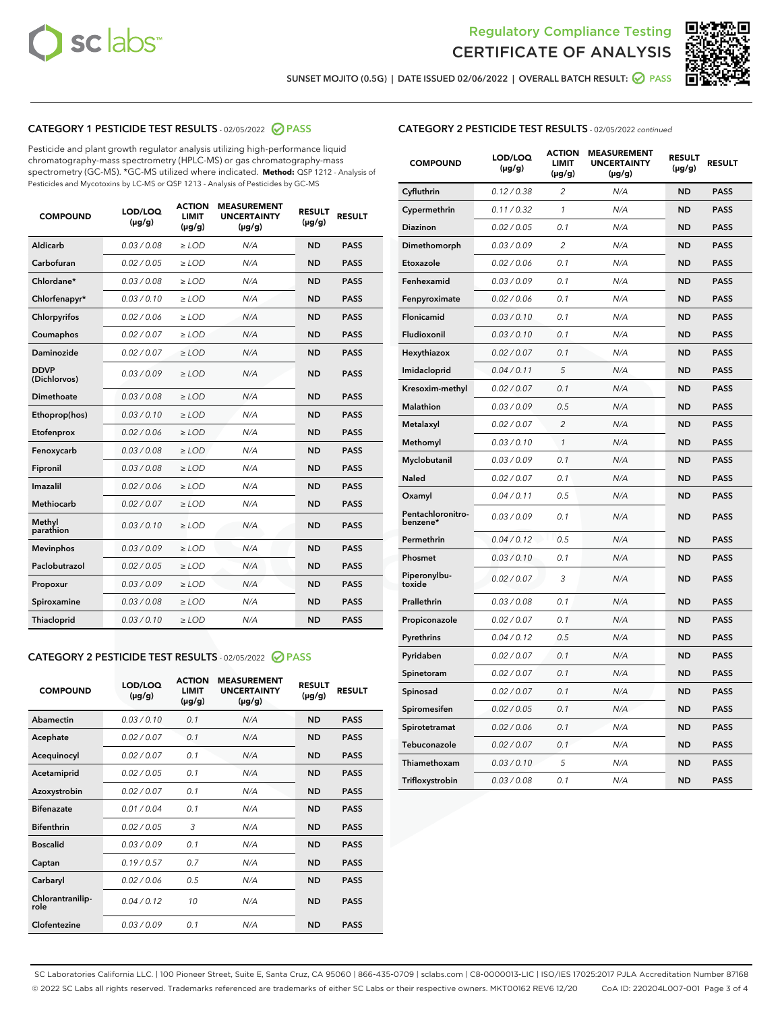



SUNSET MOJITO (0.5G) | DATE ISSUED 02/06/2022 | OVERALL BATCH RESULT: @ PASS

#### CATEGORY 1 PESTICIDE TEST RESULTS - 02/05/2022 2 PASS

Pesticide and plant growth regulator analysis utilizing high-performance liquid chromatography-mass spectrometry (HPLC-MS) or gas chromatography-mass spectrometry (GC-MS). \*GC-MS utilized where indicated. **Method:** QSP 1212 - Analysis of Pesticides and Mycotoxins by LC-MS or QSP 1213 - Analysis of Pesticides by GC-MS

| 0.03/0.08<br>Aldicarb<br>$>$ LOD<br>N/A<br><b>ND</b><br><b>PASS</b><br>Carbofuran<br>0.02 / 0.05<br>$\ge$ LOD<br><b>ND</b><br><b>PASS</b><br>N/A<br>Chlordane*<br>0.03/0.08<br><b>PASS</b><br>$>$ LOD<br>N/A<br><b>ND</b><br>0.03/0.10<br><b>PASS</b><br>Chlorfenapyr*<br>$\ge$ LOD<br>N/A<br><b>ND</b><br>Chlorpyrifos<br>0.02 / 0.06<br>N/A<br><b>ND</b><br><b>PASS</b><br>$\ge$ LOD<br>0.02 / 0.07<br>N/A<br><b>ND</b><br><b>PASS</b><br>Coumaphos<br>$\ge$ LOD<br>Daminozide<br>0.02 / 0.07<br>$\ge$ LOD<br>N/A<br><b>ND</b><br><b>PASS</b><br><b>DDVP</b><br>0.03/0.09<br>$\ge$ LOD<br>N/A<br><b>ND</b><br><b>PASS</b><br>(Dichlorvos)<br><b>Dimethoate</b><br>0.03/0.08<br>N/A<br><b>ND</b><br><b>PASS</b><br>$\ge$ LOD<br>0.03/0.10<br><b>ND</b><br><b>PASS</b><br>Ethoprop(hos)<br>$\ge$ LOD<br>N/A<br>N/A<br><b>ND</b><br><b>PASS</b><br>Etofenprox<br>0.02 / 0.06<br>$\ge$ LOD<br>0.03 / 0.08<br>N/A<br><b>ND</b><br><b>PASS</b><br>Fenoxycarb<br>$\ge$ LOD<br>0.03/0.08<br>N/A<br><b>ND</b><br><b>PASS</b><br>Fipronil<br>$>$ LOD<br>0.02 / 0.06<br>Imazalil<br>$\ge$ LOD<br>N/A<br><b>ND</b><br><b>PASS</b><br>0.02 / 0.07<br>Methiocarb<br>$\ge$ LOD<br>N/A<br><b>ND</b><br><b>PASS</b><br>Methyl<br>0.03/0.10<br>N/A<br><b>ND</b><br><b>PASS</b><br>$\ge$ LOD<br>parathion<br>0.03/0.09<br><b>ND</b><br><b>PASS</b><br><b>Mevinphos</b><br>$\ge$ LOD<br>N/A<br>Paclobutrazol<br>0.02 / 0.05<br>$>$ LOD<br>N/A<br><b>ND</b><br><b>PASS</b><br>0.03/0.09<br>N/A<br>$\ge$ LOD<br><b>ND</b><br><b>PASS</b><br>Propoxur<br>0.03 / 0.08<br><b>ND</b><br><b>PASS</b><br>Spiroxamine<br>$\ge$ LOD<br>N/A<br>Thiacloprid<br>0.03/0.10<br>$\ge$ LOD<br>N/A<br><b>ND</b><br><b>PASS</b> | <b>COMPOUND</b> | LOD/LOQ<br>$(\mu g/g)$ | <b>ACTION</b><br><b>LIMIT</b><br>$(\mu g/g)$ | <b>MEASUREMENT</b><br><b>UNCERTAINTY</b><br>$(\mu g/g)$ | <b>RESULT</b><br>$(\mu g/g)$ | <b>RESULT</b> |
|--------------------------------------------------------------------------------------------------------------------------------------------------------------------------------------------------------------------------------------------------------------------------------------------------------------------------------------------------------------------------------------------------------------------------------------------------------------------------------------------------------------------------------------------------------------------------------------------------------------------------------------------------------------------------------------------------------------------------------------------------------------------------------------------------------------------------------------------------------------------------------------------------------------------------------------------------------------------------------------------------------------------------------------------------------------------------------------------------------------------------------------------------------------------------------------------------------------------------------------------------------------------------------------------------------------------------------------------------------------------------------------------------------------------------------------------------------------------------------------------------------------------------------------------------------------------------------------------------------------------------------------------------------------------------------------------|-----------------|------------------------|----------------------------------------------|---------------------------------------------------------|------------------------------|---------------|
|                                                                                                                                                                                                                                                                                                                                                                                                                                                                                                                                                                                                                                                                                                                                                                                                                                                                                                                                                                                                                                                                                                                                                                                                                                                                                                                                                                                                                                                                                                                                                                                                                                                                                            |                 |                        |                                              |                                                         |                              |               |
|                                                                                                                                                                                                                                                                                                                                                                                                                                                                                                                                                                                                                                                                                                                                                                                                                                                                                                                                                                                                                                                                                                                                                                                                                                                                                                                                                                                                                                                                                                                                                                                                                                                                                            |                 |                        |                                              |                                                         |                              |               |
|                                                                                                                                                                                                                                                                                                                                                                                                                                                                                                                                                                                                                                                                                                                                                                                                                                                                                                                                                                                                                                                                                                                                                                                                                                                                                                                                                                                                                                                                                                                                                                                                                                                                                            |                 |                        |                                              |                                                         |                              |               |
|                                                                                                                                                                                                                                                                                                                                                                                                                                                                                                                                                                                                                                                                                                                                                                                                                                                                                                                                                                                                                                                                                                                                                                                                                                                                                                                                                                                                                                                                                                                                                                                                                                                                                            |                 |                        |                                              |                                                         |                              |               |
|                                                                                                                                                                                                                                                                                                                                                                                                                                                                                                                                                                                                                                                                                                                                                                                                                                                                                                                                                                                                                                                                                                                                                                                                                                                                                                                                                                                                                                                                                                                                                                                                                                                                                            |                 |                        |                                              |                                                         |                              |               |
|                                                                                                                                                                                                                                                                                                                                                                                                                                                                                                                                                                                                                                                                                                                                                                                                                                                                                                                                                                                                                                                                                                                                                                                                                                                                                                                                                                                                                                                                                                                                                                                                                                                                                            |                 |                        |                                              |                                                         |                              |               |
|                                                                                                                                                                                                                                                                                                                                                                                                                                                                                                                                                                                                                                                                                                                                                                                                                                                                                                                                                                                                                                                                                                                                                                                                                                                                                                                                                                                                                                                                                                                                                                                                                                                                                            |                 |                        |                                              |                                                         |                              |               |
|                                                                                                                                                                                                                                                                                                                                                                                                                                                                                                                                                                                                                                                                                                                                                                                                                                                                                                                                                                                                                                                                                                                                                                                                                                                                                                                                                                                                                                                                                                                                                                                                                                                                                            |                 |                        |                                              |                                                         |                              |               |
|                                                                                                                                                                                                                                                                                                                                                                                                                                                                                                                                                                                                                                                                                                                                                                                                                                                                                                                                                                                                                                                                                                                                                                                                                                                                                                                                                                                                                                                                                                                                                                                                                                                                                            |                 |                        |                                              |                                                         |                              |               |
|                                                                                                                                                                                                                                                                                                                                                                                                                                                                                                                                                                                                                                                                                                                                                                                                                                                                                                                                                                                                                                                                                                                                                                                                                                                                                                                                                                                                                                                                                                                                                                                                                                                                                            |                 |                        |                                              |                                                         |                              |               |
|                                                                                                                                                                                                                                                                                                                                                                                                                                                                                                                                                                                                                                                                                                                                                                                                                                                                                                                                                                                                                                                                                                                                                                                                                                                                                                                                                                                                                                                                                                                                                                                                                                                                                            |                 |                        |                                              |                                                         |                              |               |
|                                                                                                                                                                                                                                                                                                                                                                                                                                                                                                                                                                                                                                                                                                                                                                                                                                                                                                                                                                                                                                                                                                                                                                                                                                                                                                                                                                                                                                                                                                                                                                                                                                                                                            |                 |                        |                                              |                                                         |                              |               |
|                                                                                                                                                                                                                                                                                                                                                                                                                                                                                                                                                                                                                                                                                                                                                                                                                                                                                                                                                                                                                                                                                                                                                                                                                                                                                                                                                                                                                                                                                                                                                                                                                                                                                            |                 |                        |                                              |                                                         |                              |               |
|                                                                                                                                                                                                                                                                                                                                                                                                                                                                                                                                                                                                                                                                                                                                                                                                                                                                                                                                                                                                                                                                                                                                                                                                                                                                                                                                                                                                                                                                                                                                                                                                                                                                                            |                 |                        |                                              |                                                         |                              |               |
|                                                                                                                                                                                                                                                                                                                                                                                                                                                                                                                                                                                                                                                                                                                                                                                                                                                                                                                                                                                                                                                                                                                                                                                                                                                                                                                                                                                                                                                                                                                                                                                                                                                                                            |                 |                        |                                              |                                                         |                              |               |
|                                                                                                                                                                                                                                                                                                                                                                                                                                                                                                                                                                                                                                                                                                                                                                                                                                                                                                                                                                                                                                                                                                                                                                                                                                                                                                                                                                                                                                                                                                                                                                                                                                                                                            |                 |                        |                                              |                                                         |                              |               |
|                                                                                                                                                                                                                                                                                                                                                                                                                                                                                                                                                                                                                                                                                                                                                                                                                                                                                                                                                                                                                                                                                                                                                                                                                                                                                                                                                                                                                                                                                                                                                                                                                                                                                            |                 |                        |                                              |                                                         |                              |               |
|                                                                                                                                                                                                                                                                                                                                                                                                                                                                                                                                                                                                                                                                                                                                                                                                                                                                                                                                                                                                                                                                                                                                                                                                                                                                                                                                                                                                                                                                                                                                                                                                                                                                                            |                 |                        |                                              |                                                         |                              |               |
|                                                                                                                                                                                                                                                                                                                                                                                                                                                                                                                                                                                                                                                                                                                                                                                                                                                                                                                                                                                                                                                                                                                                                                                                                                                                                                                                                                                                                                                                                                                                                                                                                                                                                            |                 |                        |                                              |                                                         |                              |               |
|                                                                                                                                                                                                                                                                                                                                                                                                                                                                                                                                                                                                                                                                                                                                                                                                                                                                                                                                                                                                                                                                                                                                                                                                                                                                                                                                                                                                                                                                                                                                                                                                                                                                                            |                 |                        |                                              |                                                         |                              |               |
|                                                                                                                                                                                                                                                                                                                                                                                                                                                                                                                                                                                                                                                                                                                                                                                                                                                                                                                                                                                                                                                                                                                                                                                                                                                                                                                                                                                                                                                                                                                                                                                                                                                                                            |                 |                        |                                              |                                                         |                              |               |

#### CATEGORY 2 PESTICIDE TEST RESULTS - 02/05/2022 2 PASS

| <b>COMPOUND</b>          | LOD/LOO<br>$(\mu g/g)$ | <b>ACTION</b><br>LIMIT<br>$(\mu g/g)$ | <b>MEASUREMENT</b><br><b>UNCERTAINTY</b><br>$(\mu g/g)$ | <b>RESULT</b><br>$(\mu g/g)$ | <b>RESULT</b> |  |
|--------------------------|------------------------|---------------------------------------|---------------------------------------------------------|------------------------------|---------------|--|
| Abamectin                | 0.03/0.10              | 0.1                                   | N/A                                                     | <b>ND</b>                    | <b>PASS</b>   |  |
| Acephate                 | 0.02/0.07              | 0.1                                   | N/A                                                     | <b>ND</b>                    | <b>PASS</b>   |  |
| Acequinocyl              | 0.02/0.07              | 0.1                                   | N/A                                                     | <b>ND</b>                    | <b>PASS</b>   |  |
| Acetamiprid              | 0.02/0.05              | 0.1                                   | N/A                                                     | <b>ND</b>                    | <b>PASS</b>   |  |
| Azoxystrobin             | 0.02/0.07              | 0.1                                   | N/A                                                     | <b>ND</b>                    | <b>PASS</b>   |  |
| <b>Bifenazate</b>        | 0.01 / 0.04            | 0.1                                   | N/A                                                     | <b>ND</b>                    | <b>PASS</b>   |  |
| <b>Bifenthrin</b>        | 0.02/0.05              | 3                                     | N/A                                                     | <b>ND</b>                    | <b>PASS</b>   |  |
| <b>Boscalid</b>          | 0.03/0.09              | 0.1                                   | N/A                                                     | <b>ND</b>                    | <b>PASS</b>   |  |
| Captan                   | 0.19/0.57              | 0.7                                   | N/A                                                     | <b>ND</b>                    | <b>PASS</b>   |  |
| Carbaryl                 | 0.02/0.06              | 0.5                                   | N/A                                                     | <b>ND</b>                    | <b>PASS</b>   |  |
| Chlorantranilip-<br>role | 0.04/0.12              | 10                                    | N/A                                                     | <b>ND</b>                    | <b>PASS</b>   |  |
| Clofentezine             | 0.03/0.09              | 0.1                                   | N/A                                                     | <b>ND</b>                    | <b>PASS</b>   |  |

| <b>CATEGORY 2 PESTICIDE TEST RESULTS</b> - 02/05/2022 continued |  |
|-----------------------------------------------------------------|--|
|                                                                 |  |

| <b>COMPOUND</b>               | LOD/LOQ<br>$(\mu g/g)$ | <b>ACTION</b><br>LIMIT<br>(µg/g) | <b>MEASUREMENT</b><br><b>UNCERTAINTY</b><br>(µg/g) | <b>RESULT</b><br>$(\mu g/g)$ | <b>RESULT</b> |
|-------------------------------|------------------------|----------------------------------|----------------------------------------------------|------------------------------|---------------|
| Cyfluthrin                    | 0.12 / 0.38            | $\overline{c}$                   | N/A                                                | ND                           | <b>PASS</b>   |
| Cypermethrin                  | 0.11 / 0.32            | 1                                | N/A                                                | <b>ND</b>                    | <b>PASS</b>   |
| Diazinon                      | 0.02 / 0.05            | 0.1                              | N/A                                                | <b>ND</b>                    | <b>PASS</b>   |
| Dimethomorph                  | 0.03 / 0.09            | 2                                | N/A                                                | <b>ND</b>                    | <b>PASS</b>   |
| Etoxazole                     | 0.02 / 0.06            | 0.1                              | N/A                                                | <b>ND</b>                    | <b>PASS</b>   |
| Fenhexamid                    | 0.03 / 0.09            | 0.1                              | N/A                                                | <b>ND</b>                    | <b>PASS</b>   |
| Fenpyroximate                 | 0.02 / 0.06            | 0.1                              | N/A                                                | <b>ND</b>                    | <b>PASS</b>   |
| Flonicamid                    | 0.03 / 0.10            | 0.1                              | N/A                                                | <b>ND</b>                    | <b>PASS</b>   |
| Fludioxonil                   | 0.03/0.10              | 0.1                              | N/A                                                | ND                           | <b>PASS</b>   |
| Hexythiazox                   | 0.02 / 0.07            | 0.1                              | N/A                                                | <b>ND</b>                    | <b>PASS</b>   |
| Imidacloprid                  | 0.04 / 0.11            | 5                                | N/A                                                | <b>ND</b>                    | <b>PASS</b>   |
| Kresoxim-methyl               | 0.02 / 0.07            | 0.1                              | N/A                                                | <b>ND</b>                    | <b>PASS</b>   |
| <b>Malathion</b>              | 0.03 / 0.09            | 0.5                              | N/A                                                | <b>ND</b>                    | <b>PASS</b>   |
| Metalaxyl                     | 0.02 / 0.07            | $\overline{c}$                   | N/A                                                | <b>ND</b>                    | <b>PASS</b>   |
| Methomyl                      | 0.03 / 0.10            | $\mathbf{1}$                     | N/A                                                | <b>ND</b>                    | <b>PASS</b>   |
| Myclobutanil                  | 0.03 / 0.09            | 0.1                              | N/A                                                | <b>ND</b>                    | <b>PASS</b>   |
| Naled                         | 0.02 / 0.07            | 0.1                              | N/A                                                | <b>ND</b>                    | <b>PASS</b>   |
| Oxamyl                        | 0.04 / 0.11            | 0.5                              | N/A                                                | <b>ND</b>                    | <b>PASS</b>   |
| Pentachloronitro-<br>benzene* | 0.03 / 0.09            | 0.1                              | N/A                                                | ND                           | <b>PASS</b>   |
| Permethrin                    | 0.04 / 0.12            | 0.5                              | N/A                                                | <b>ND</b>                    | <b>PASS</b>   |
| Phosmet                       | 0.03 / 0.10            | 0.1                              | N/A                                                | <b>ND</b>                    | <b>PASS</b>   |
| Piperonylbu-<br>toxide        | 0.02 / 0.07            | 3                                | N/A                                                | <b>ND</b>                    | <b>PASS</b>   |
| Prallethrin                   | 0.03 / 0.08            | 0.1                              | N/A                                                | <b>ND</b>                    | <b>PASS</b>   |
| Propiconazole                 | 0.02 / 0.07            | 0.1                              | N/A                                                | <b>ND</b>                    | <b>PASS</b>   |
| Pyrethrins                    | 0.04 / 0.12            | 0.5                              | N/A                                                | <b>ND</b>                    | <b>PASS</b>   |
| Pyridaben                     | 0.02 / 0.07            | 0.1                              | N/A                                                | <b>ND</b>                    | <b>PASS</b>   |
| Spinetoram                    | 0.02 / 0.07            | 0.1                              | N/A                                                | <b>ND</b>                    | <b>PASS</b>   |
| Spinosad                      | 0.02 / 0.07            | 0.1                              | N/A                                                | <b>ND</b>                    | <b>PASS</b>   |
| Spiromesifen                  | 0.02 / 0.05            | 0.1                              | N/A                                                | <b>ND</b>                    | <b>PASS</b>   |
| Spirotetramat                 | 0.02 / 0.06            | 0.1                              | N/A                                                | <b>ND</b>                    | <b>PASS</b>   |
| Tebuconazole                  | 0.02 / 0.07            | 0.1                              | N/A                                                | ND                           | <b>PASS</b>   |
| Thiamethoxam                  | 0.03 / 0.10            | 5                                | N/A                                                | <b>ND</b>                    | <b>PASS</b>   |
| Trifloxystrobin               | 0.03 / 0.08            | 0.1                              | N/A                                                | <b>ND</b>                    | <b>PASS</b>   |

SC Laboratories California LLC. | 100 Pioneer Street, Suite E, Santa Cruz, CA 95060 | 866-435-0709 | sclabs.com | C8-0000013-LIC | ISO/IES 17025:2017 PJLA Accreditation Number 87168 © 2022 SC Labs all rights reserved. Trademarks referenced are trademarks of either SC Labs or their respective owners. MKT00162 REV6 12/20 CoA ID: 220204L007-001 Page 3 of 4